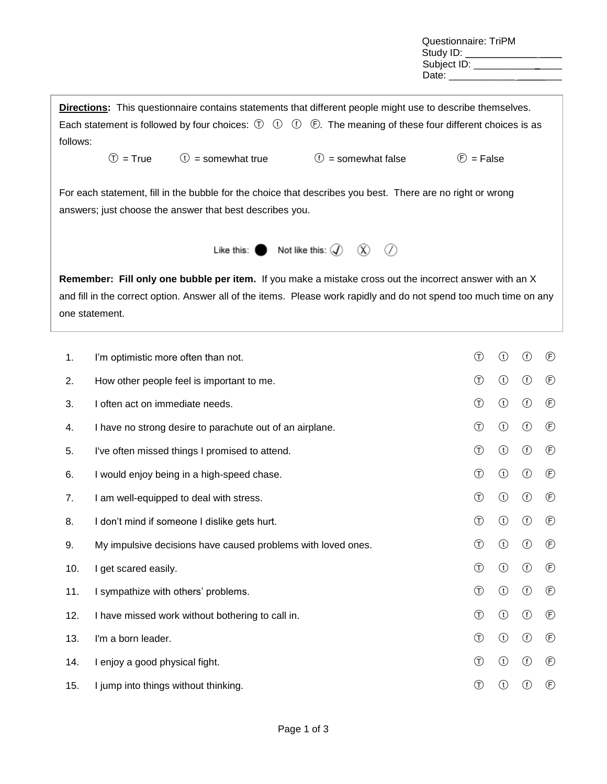Questionnaire: TriPM Study ID: \_\_\_\_\_\_\_\_\_\_\_\_ Subject ID: \_\_\_\_\_\_\_\_\_\_\_ Date:

**Directions:** This questionnaire contains statements that different people might use to describe themselves. Each statement is followed by four choices:  $\mathbb{D}$   $\mathbb{D}$   $\mathbb{D}$   $\mathbb{D}$ . The meaning of these four different choices is as follows:  $\circled{1}$  = True  $\circled{1}$  = somewhat true  $\circled{1}$  = somewhat false  $\circled{1}$  = False For each statement, fill in the bubble for the choice that describes you best. There are no right or wrong answers; just choose the answer that best describes you. Like this:  $\bigcirc$  Not like this:  $\mathcal{Q}$   $\mathcal{R}$   $\mathcal{Q}$ **Remember: Fill only one bubble per item.** If you make a mistake cross out the incorrect answer with an X and fill in the correct option. Answer all of the items. Please work rapidly and do not spend too much time on any one statement.

| 1.  | I'm optimistic more often than not.                          | $\bigcirc$     | $\odot$    | $\circledf$ | $^{\circledR}$ |
|-----|--------------------------------------------------------------|----------------|------------|-------------|----------------|
| 2.  | How other people feel is important to me.                    | $\circled{f}$  | $\bigcirc$ | $\bigcirc$  | $^{\circledR}$ |
| 3.  | I often act on immediate needs.                              | $\bigcirc$     | $\bigodot$ | $\bigcirc$  | $^{\circledR}$ |
| 4.  | I have no strong desire to parachute out of an airplane.     | $\bigcirc$     | $\bigcirc$ | $\bigcirc$  | $^{\circledR}$ |
| 5.  | I've often missed things I promised to attend.               | $\circled{f}$  | $\bigodot$ | $\bigcirc$  | $^{\circledR}$ |
| 6.  | I would enjoy being in a high-speed chase.                   | $\circled{f}$  | $\bigodot$ | $\bigcirc$  | $^{\circledR}$ |
| 7.  | I am well-equipped to deal with stress.                      | $\circled{f}$  | $\bigodot$ | $\bigcirc$  | $^{\circledR}$ |
| 8.  | I don't mind if someone I dislike gets hurt.                 | $\circled{f}$  | $\bigodot$ | $\bigcirc$  | $^{\circledR}$ |
| 9.  | My impulsive decisions have caused problems with loved ones. | $\circled{f}$  | $\bigodot$ | $\bigcirc$  | $^{\circledR}$ |
| 10. | I get scared easily.                                         | $\circled{f}$  | $\bigcirc$ | $\bigcirc$  | $^{\circledR}$ |
| 11. | I sympathize with others' problems.                          | $\circled{f}$  | $\bigodot$ | $\bigcirc$  | $\circled{f}$  |
| 12. | I have missed work without bothering to call in.             | $\bigcirc$     | $\bigodot$ | $\bigcirc$  | $^{\circledR}$ |
| 13. | I'm a born leader.                                           | $\circled{f}$  | $\bigodot$ | $\bigcirc$  | $^{\circledR}$ |
| 14. | I enjoy a good physical fight.                               | $^{\circledR}$ | $\bigcirc$ | $\bigcirc$  | $^{\circledR}$ |
| 15. | I jump into things without thinking.                         | $^{\circledR}$ | $\bigcirc$ | $^{\circ}$  | $\circled{f}$  |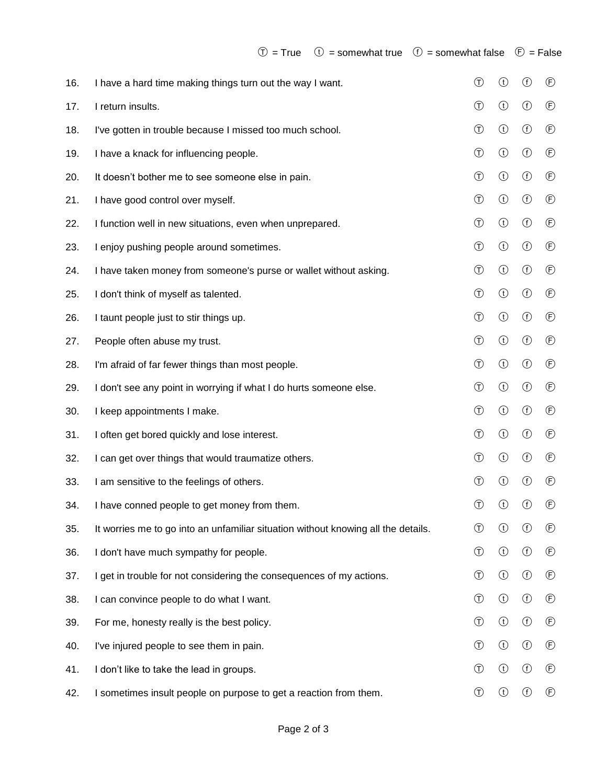| 16. | I have a hard time making things turn out the way I want.                         | $^\circledR$   | $\odot$        | $\bigcirc$ | $^{\circledR}$ |
|-----|-----------------------------------------------------------------------------------|----------------|----------------|------------|----------------|
| 17. | I return insults.                                                                 | $^\circledR$   | $\bigodot$     | $\bigcirc$ | $\circled{f}$  |
| 18. | I've gotten in trouble because I missed too much school.                          | $^\circledR$   | $\bigcirc$     | $\bigcirc$ | $\circled{f}$  |
| 19. | I have a knack for influencing people.                                            | $\bigcirc$     | $\bigodot$     | $\bigcirc$ | $\circled{f}$  |
| 20. | It doesn't bother me to see someone else in pain.                                 | $\bigcirc$     | $\bigcirc$     | $\bigcirc$ | $\circled{f}$  |
| 21. | I have good control over myself.                                                  | $^\circledR$   | $\bigodot$     | $\bigcirc$ | $\circled{f}$  |
| 22. | I function well in new situations, even when unprepared.                          | $^\circledR$   | $\bigcirc$     | $\bigcirc$ | $\circled{f}$  |
| 23. | I enjoy pushing people around sometimes.                                          | $^\circledR$   | $\bigcirc$     | $\bigcirc$ | $\circled{f}$  |
| 24. | I have taken money from someone's purse or wallet without asking.                 | $^\copyright$  | $\bigcirc$     | $\bigcirc$ | $\circled{f}$  |
| 25. | I don't think of myself as talented.                                              | $^\circledR$   | $\bigcirc$     | $\bigcirc$ | $^{\circledR}$ |
| 26. | I taunt people just to stir things up.                                            | $^\circledR$   | $\bigodot$     | $\bigcirc$ | $\circled{f}$  |
| 27. | People often abuse my trust.                                                      | $^{\circledR}$ | $\bigodot$     | $\bigcirc$ | $\circled{f}$  |
| 28. | I'm afraid of far fewer things than most people.                                  | $^{\circledR}$ | $\bigodot$     | $\bigcirc$ | $\circled{f}$  |
| 29. | I don't see any point in worrying if what I do hurts someone else.                | $^{\circledR}$ | $\bigodot$     | $\bigcirc$ | $\circled{f}$  |
| 30. | I keep appointments I make.                                                       | $\circled$     | $\bigodot$     | $\bigcirc$ | $\circled{f}$  |
| 31. | I often get bored quickly and lose interest.                                      | $^{\circledR}$ | $\bigodot$     | $\bigcirc$ | $\circled{f}$  |
| 32. | I can get over things that would traumatize others.                               | $^\circledR$   | $\bigcirc$     | $\bigcirc$ | $\circled{f}$  |
| 33. | I am sensitive to the feelings of others.                                         | $^\circledR$   | $\bigcirc$     | $\bigcirc$ | $^{\circledR}$ |
| 34. | I have conned people to get money from them.                                      | $^\copyright$  | $^{\circledR}$ | $^{\circ}$ | $\circled{f}$  |
| 35. | It worries me to go into an unfamiliar situation without knowing all the details. | $^\copyright$  | $^{\circledR}$ | $^{\circ}$ | $^{\circledR}$ |
| 36. | I don't have much sympathy for people.                                            | $^\circledR$   | $\bigcirc$     | $\bigcirc$ | $\circled{f}$  |
| 37. | I get in trouble for not considering the consequences of my actions.              | $^\circledR$   | $\bigodot$     | $\bigcirc$ | $^{\circledR}$ |
| 38. | I can convince people to do what I want.                                          | $^\circledR$   | $\bigodot$     | $\bigcirc$ | $\circled{f}$  |
| 39. | For me, honesty really is the best policy.                                        | $\circled$     | $\bigodot$     | $\bigcirc$ | $\circled{f}$  |
| 40. | I've injured people to see them in pain.                                          | $\circled$     | $\bigcirc$     | $\bigcirc$ | $\circled{f}$  |
| 41. | I don't like to take the lead in groups.                                          | ⊕              | $\bigodot$     | $\bigcirc$ | $\circled{f}$  |
| 42. | I sometimes insult people on purpose to get a reaction from them.                 | $^\circledR$   | $\bigcirc$     | $\bigcirc$ | $\circled{f}$  |